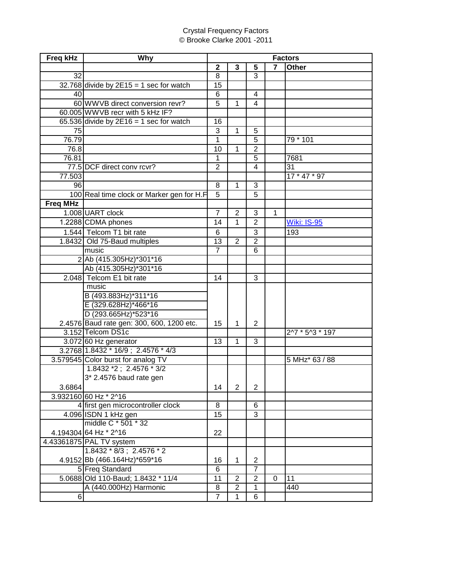## Crystal Frequency Factors © Brooke Clarke 2001 -2011

| <b>Freq kHz</b> | Why                                       | <b>Factors</b>  |                |                |              |                                    |  |
|-----------------|-------------------------------------------|-----------------|----------------|----------------|--------------|------------------------------------|--|
|                 |                                           | $\mathbf{2}$    | 3              | 5              | 7            | <b>Other</b>                       |  |
| 32              |                                           | 8               |                | 3              |              |                                    |  |
|                 | $32.768$ divide by 2E15 = 1 sec for watch | 15              |                |                |              |                                    |  |
| 40              |                                           | 6               |                | 4              |              |                                    |  |
|                 | 60 WWVB direct conversion revr?           | $\overline{5}$  | 1              | 4              |              |                                    |  |
|                 | 60.005 WWVB recr with 5 kHz IF?           |                 |                |                |              |                                    |  |
|                 | 65.536 divide by $2E16 = 1$ sec for watch | 16              |                |                |              |                                    |  |
| $\overline{75}$ |                                           | 3               | $\overline{1}$ | 5              |              |                                    |  |
| 76.79           |                                           | 1               |                | 5              |              | 79 * 101                           |  |
| 76.8            |                                           | 10              | $\mathbf{1}$   | $\overline{2}$ |              |                                    |  |
| 76.81           |                                           | $\mathbf{1}$    |                | 5              |              | 7681                               |  |
|                 | 77.5 DCF direct conv rcvr?                | $\overline{2}$  |                | 4              |              | $\overline{31}$                    |  |
| 77.503          |                                           |                 |                |                |              | $17 * 47 * 97$                     |  |
| 96              |                                           | 8               | $\mathbf{1}$   | 3              |              |                                    |  |
|                 | 100 Real time clock or Marker gen for H.F | $\overline{5}$  |                | $\overline{5}$ |              |                                    |  |
| <b>Freq MHz</b> |                                           |                 |                |                |              |                                    |  |
|                 | 1.008 UART clock                          | $\overline{7}$  | $\overline{2}$ | 3              | $\mathbf{1}$ |                                    |  |
|                 | 1.2288 CDMA phones                        | 14              | 1              | $\overline{2}$ |              | <b>Wiki: IS-95</b>                 |  |
|                 | 1.544 Telcom T1 bit rate                  | 6               |                | 3              |              | 193                                |  |
|                 | 1.8432 Old 75-Baud multiples              | 13              | $\overline{2}$ | $\overline{2}$ |              |                                    |  |
|                 | music                                     | $\overline{7}$  |                | 6              |              |                                    |  |
|                 | 2 Ab (415.305Hz)*301*16                   |                 |                |                |              |                                    |  |
|                 | Ab (415.305Hz)*301*16                     |                 |                |                |              |                                    |  |
|                 | 2.048 Telcom E1 bit rate                  | 14              |                | 3              |              |                                    |  |
|                 | music                                     |                 |                |                |              |                                    |  |
|                 | B (493.883Hz)*311*16                      |                 |                |                |              |                                    |  |
|                 | E (329.628Hz)*466*16                      |                 |                |                |              |                                    |  |
|                 | D (293.665Hz)*523*16                      |                 |                |                |              |                                    |  |
|                 | 2.4576 Baud rate gen: 300, 600, 1200 etc. | 15              | $\mathbf{1}$   | $\overline{2}$ |              |                                    |  |
|                 | 3.152 Telcom DS1c                         |                 |                |                |              | $2^{1/7}$ * 5 <sup>1</sup> 3 * 197 |  |
|                 | $3.072$ 60 Hz generator                   | 13              | $\mathbf{1}$   | 3              |              |                                    |  |
|                 | 3.2768 1.8432 * 16/9; 2.4576 * 4/3        |                 |                |                |              |                                    |  |
|                 | 3.579545 Color burst for analog TV        |                 |                |                |              | 5 MHz* 63 / 88                     |  |
|                 | $1.8432*2$ ; 2.4576 $*3/2$                |                 |                |                |              |                                    |  |
|                 | 3* 2.4576 baud rate gen                   |                 |                |                |              |                                    |  |
| 3.6864          |                                           | 14              | $\overline{2}$ | $\overline{2}$ |              |                                    |  |
|                 | 3.932160 60 Hz * 2^16                     |                 |                |                |              |                                    |  |
|                 | 4 first gen microcontroller clock         | $\overline{8}$  |                | 6              |              |                                    |  |
|                 | 4.096 ISDN 1 kHz gen                      | $\overline{15}$ |                | $\overline{3}$ |              |                                    |  |
|                 | middle C * 501 * 32                       |                 |                |                |              |                                    |  |
|                 | 4.194304 64 Hz * 2^16                     | 22              |                |                |              |                                    |  |
|                 | 4.43361875 PAL TV system                  |                 |                |                |              |                                    |  |
|                 | $1.8432 * 8/3$ ; $2.4576 * 2$             |                 |                |                |              |                                    |  |
|                 | 4.9152 Bb (466.164Hz)*659*16              | 16              | $\mathbf{1}$   | $\overline{2}$ |              |                                    |  |
|                 | 5 Freq Standard                           | 6               |                | $\overline{7}$ |              |                                    |  |
|                 | 5.0688 Old 110-Baud; 1.8432 * 11/4        | 11              | $\overline{2}$ | $\overline{2}$ | 0            | 11                                 |  |
|                 | A (440.000Hz) Harmonic                    | 8               | $\overline{2}$ | 1              |              | 440                                |  |
| 6               |                                           | $\overline{7}$  | $\mathbf{1}$   | 6              |              |                                    |  |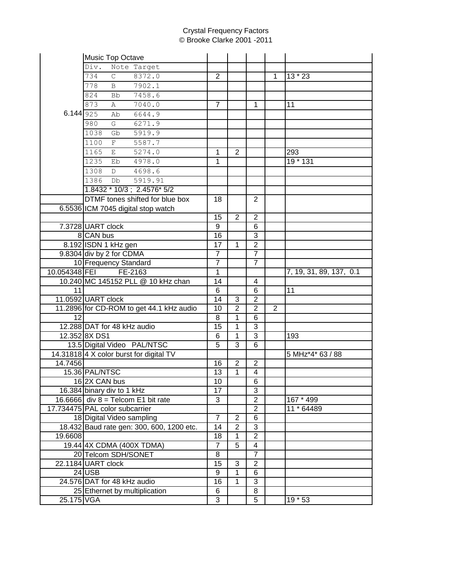## Crystal Frequency Factors © Brooke Clarke 2001 -2011

|             | Music Top Octave                          |                 |                |                |                |                         |
|-------------|-------------------------------------------|-----------------|----------------|----------------|----------------|-------------------------|
|             | Div.<br>Note Target                       |                 |                |                |                |                         |
|             | 734<br>$\mathsf{C}$<br>8372.0             | $\overline{2}$  |                |                | $\overline{1}$ | $13 * 23$               |
|             | 7902.1<br>778<br>$\mathbf B$              |                 |                |                |                |                         |
|             | 7458.6<br>824<br>Bb                       |                 |                |                |                |                         |
|             | 873<br>7040.0<br>Α                        | $\overline{7}$  |                | 1              |                | 11                      |
| 6.144 $925$ | 6644.9<br>Ab                              |                 |                |                |                |                         |
|             | 980<br>G<br>6271.9                        |                 |                |                |                |                         |
|             | 1038<br>Gb<br>5919.9                      |                 |                |                |                |                         |
|             | 1100<br>5587.7<br>F                       |                 |                |                |                |                         |
|             | 1165<br>5274.0<br>$\mathbf{E}$            | $\mathbf{1}$    | 2              |                |                | 293                     |
|             | 1235<br>4978.0<br>Eb                      | 1               |                |                |                | 19 * 131                |
|             | 4698.6<br>1308<br>D                       |                 |                |                |                |                         |
|             |                                           |                 |                |                |                |                         |
|             | 1386<br>5919.91<br>Db                     |                 |                |                |                |                         |
|             | 1.8432 * 10/3; 2.4576* 5/2                |                 |                |                |                |                         |
|             | DTMF tones shifted for blue box           | 18              |                | 2              |                |                         |
|             | 6.5536 ICM 7045 digital stop watch        |                 |                |                |                |                         |
|             |                                           | 15              | $\overline{2}$ | $\overline{2}$ |                |                         |
|             | 7.3728 UART clock                         | 9               |                | 6              |                |                         |
|             | 8 CAN bus                                 | 16              |                | 3              |                |                         |
|             | 8.192 ISDN 1 kHz gen                      | 17              | $\mathbf{1}$   | $\overline{2}$ |                |                         |
|             | 9.8304 div by 2 for CDMA                  | $\overline{7}$  |                | $\overline{7}$ |                |                         |
|             | 10 Frequency Standard                     | $\overline{7}$  |                | $\overline{7}$ |                |                         |
|             | 10.054348 FEI FE-2163                     | $\mathbf{1}$    |                |                |                | 7, 19, 31, 89, 137, 0.1 |
|             | 10.240 MC 145152 PLL @ 10 kHz chan        | 14              |                | 4              |                |                         |
| 11          |                                           | $\overline{6}$  |                | $\overline{6}$ |                | $\overline{11}$         |
|             | 11.0592 UART clock                        | $\overline{14}$ | 3              | $\overline{2}$ |                |                         |
|             | 11.2896 for CD-ROM to get 44.1 kHz audio  | 10              | $\overline{2}$ | $\overline{2}$ | $\overline{2}$ |                         |
| 12          |                                           | 8               | 1              | 6              |                |                         |
|             | 12.288 DAT for 48 kHz audio               | 15              | 1              | $\overline{3}$ |                |                         |
|             | 12.352 8X DS1                             | 6               | 1              | $\overline{3}$ |                | 193                     |
|             | 13.5 Digital Video PAL/NTSC               | 5               | 3              | 6              |                |                         |
|             | 14.31818 4 X color burst for digital TV   |                 |                |                |                | 5 MHz*4* 63 / 88        |
| 14.7456     |                                           | 16              | $\overline{2}$ | $\overline{2}$ |                |                         |
|             | 15.36 PAL/NTSC                            | 13              | $\mathbf{1}$   | 4              |                |                         |
|             | 16 2X CAN bus                             | $10\,$          |                | 6              |                |                         |
|             | 16.384 binary div to 1 kHz                | 17              |                | 3              |                |                         |
|             | 16.6666 div $8 =$ Telcom E1 bit rate      | 3               |                | $\overline{c}$ |                | 167 * 499               |
|             | 17.734475 PAL color subcarrier            |                 |                | $\overline{2}$ |                | 11 * 64489              |
|             | 18 Digital Video sampling                 | $\overline{7}$  | $\overline{2}$ | 6              |                |                         |
|             | 18.432 Baud rate gen: 300, 600, 1200 etc. | 14              | $\overline{2}$ | 3              |                |                         |
| 19.6608     |                                           | 18              | $\mathbf{1}$   | $\overline{2}$ |                |                         |
|             | 19.44 4X CDMA (400X TDMA)                 | $\overline{7}$  | $\overline{5}$ | $\overline{4}$ |                |                         |
|             | 20 Telcom SDH/SONET                       | $\overline{8}$  |                | $\overline{7}$ |                |                         |
|             | 22.1184 UART clock                        | 15              | 3              | $\overline{2}$ |                |                         |
|             | $24$ USB                                  | 9               | $\mathbf{1}$   | 6              |                |                         |
|             | 24.576 DAT for 48 kHz audio               | 16              | 1              | 3              |                |                         |
|             | 25 Ethernet by multiplication             | 6               |                | 8              |                |                         |
| 25.175 VGA  |                                           | 3               |                | 5              |                | $19 * 53$               |